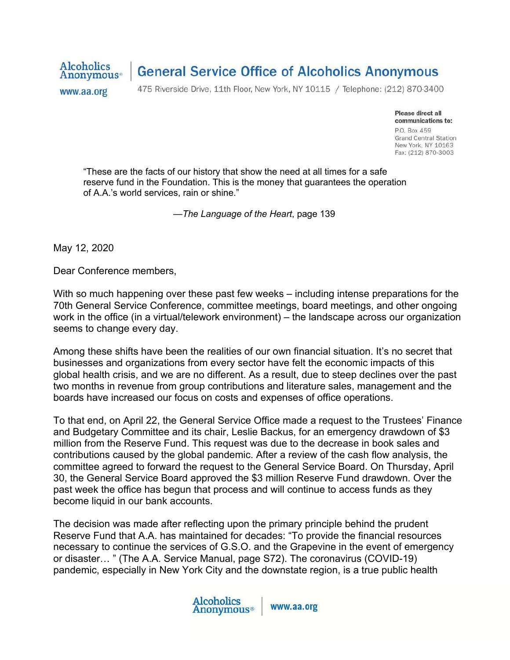## **General Service Office of Alcoholics Anonymous**

www.aa.org

**Alcoholics** 

Anonymous<sup>®</sup>

475 Riverside Drive, 11th Floor, New York, NY 10115 / Telephone: (212) 870-3400

Please direct all communications to:

P.O. Box 459 **Grand Central Station** New York, NY 10163 Fax: (212) 870-3003

"These are the facts of our history that show the need at all times for a safe reserve fund in the Foundation. This is the money that guarantees the operation of A.A.'s world services, rain or shine."

*—The Language of the Heart*, page 139

May 12, 2020

Dear Conference members,

With so much happening over these past few weeks – including intense preparations for the 70th General Service Conference, committee meetings, board meetings, and other ongoing work in the office (in a virtual/telework environment) – the landscape across our organization seems to change every day.

Among these shifts have been the realities of our own financial situation. It's no secret that businesses and organizations from every sector have felt the economic impacts of this global health crisis, and we are no different. As a result, due to steep declines over the past two months in revenue from group contributions and literature sales, management and the boards have increased our focus on costs and expenses of office operations.

To that end, on April 22, the General Service Office made a request to the Trustees' Finance and Budgetary Committee and its chair, Leslie Backus, for an emergency drawdown of \$3 million from the Reserve Fund. This request was due to the decrease in book sales and contributions caused by the global pandemic. After a review of the cash flow analysis, the committee agreed to forward the request to the General Service Board. On Thursday, April 30, the General Service Board approved the \$3 million Reserve Fund drawdown. Over the past week the office has begun that process and will continue to access funds as they become liquid in our bank accounts.

The decision was made after reflecting upon the primary principle behind the prudent Reserve Fund that A.A. has maintained for decades: "To provide the financial resources necessary to continue the services of G.S.O. and the Grapevine in the event of emergency or disaster… " (The A.A. Service Manual, page S72). The coronavirus (COVID-19) pandemic, especially in New York City and the downstate region, is a true public health